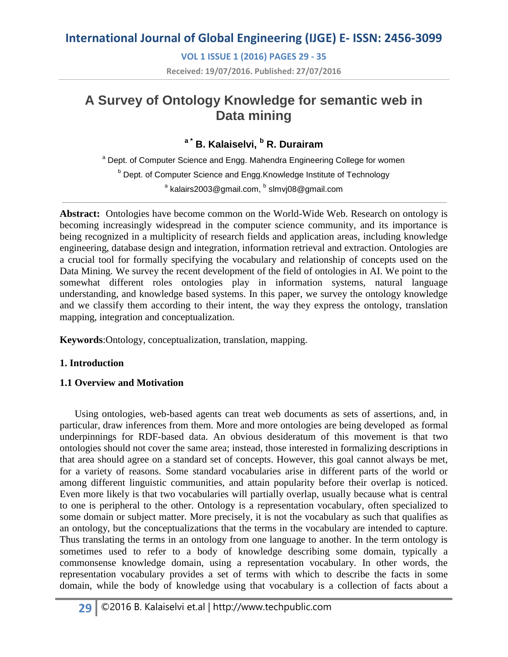**VOL 1 ISSUE 1 (2016) PAGES 29 - 35**

**Received: 19/07/2016. Published: 27/07/2016**

# **A Survey of Ontology Knowledge for semantic web in Data mining**

## **a \* B. Kalaiselvi, <sup>b</sup> R. Durairam**

<sup>a</sup> Dept. of Computer Science and Engg. Mahendra Engineering College for women **b** Dept. of Computer Science and Engg.Knowledge Institute of Technology  $^{\text{\tiny \textsf{a}}}$  kalairs2003@gmail.com,  $^{\text{\tiny \textsf{b}}}$  slmvj08@gmail.com

**Abstract:** Ontologies have become common on the World-Wide Web. Research on ontology is becoming increasingly widespread in the computer science community, and its importance is being recognized in a multiplicity of research fields and application areas, including knowledge engineering, database design and integration, information retrieval and extraction. Ontologies are a crucial tool for formally specifying the vocabulary and relationship of concepts used on the Data Mining. We survey the recent development of the field of ontologies in AI. We point to the somewhat different roles ontologies play in information systems, natural language understanding, and knowledge based systems. In this paper, we survey the ontology knowledge and we classify them according to their intent, the way they express the ontology, translation mapping, integration and conceptualization.

**Keywords**:Ontology, conceptualization, translation, mapping.

### **1. Introduction**

### **1.1 Overview and Motivation**

Using ontologies, web-based agents can treat web documents as sets of assertions, and, in particular, draw inferences from them. More and more ontologies are being developed as formal underpinnings for RDF-based data. An obvious desideratum of this movement is that two ontologies should not cover the same area; instead, those interested in formalizing descriptions in that area should agree on a standard set of concepts. However, this goal cannot always be met, for a variety of reasons. Some standard vocabularies arise in different parts of the world or among different linguistic communities, and attain popularity before their overlap is noticed. Even more likely is that two vocabularies will partially overlap, usually because what is central to one is peripheral to the other. Ontology is a representation vocabulary*,* often specialized to some domain or subject matter*.* More precisely, it is not the vocabulary as such that qualifies as an ontology, but the conceptualizations that the terms in the vocabulary are intended to capture. Thus translating the terms in an ontology from one language to another. In the term ontology is sometimes used to refer to a body of knowledge describing some domain, typically a commonsense knowledge domain, using a representation vocabulary. In other words, the representation vocabulary provides a set of terms with which to describe the facts in some domain, while the body of knowledge using that vocabulary is a collection of facts about a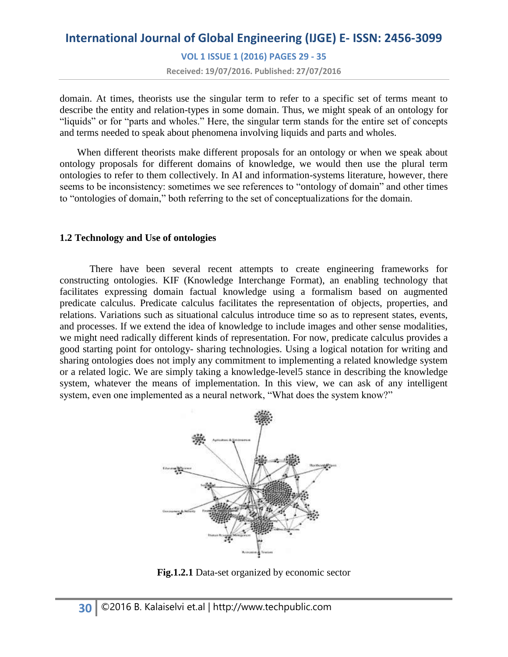# **International Journal of Global Engineering (IJGE) E- ISSN: 2456-3099 VOL 1 ISSUE 1 (2016) PAGES 29 - 35 Received: 19/07/2016. Published: 27/07/2016**

domain. At times, theorists use the singular term to refer to a specific set of terms meant to describe the entity and relation-types in some domain. Thus, we might speak of an ontology for "liquids" or for "parts and wholes." Here, the singular term stands for the entire set of concepts and terms needed to speak about phenomena involving liquids and parts and wholes.

When different theorists make different proposals for an ontology or when we speak about ontology proposals for different domains of knowledge, we would then use the plural term ontologies to refer to them collectively. In AI and information-systems literature, however, there seems to be inconsistency: sometimes we see references to "ontology of domain" and other times to "ontologies of domain," both referring to the set of conceptualizations for the domain.

### **1.2 Technology and Use of ontologies**

There have been several recent attempts to create engineering frameworks for constructing ontologies. KIF (Knowledge Interchange Format), an enabling technology that facilitates expressing domain factual knowledge using a formalism based on augmented predicate calculus. Predicate calculus facilitates the representation of objects, properties, and relations. Variations such as situational calculus introduce time so as to represent states, events, and processes. If we extend the idea of knowledge to include images and other sense modalities, we might need radically different kinds of representation. For now, predicate calculus provides a good starting point for ontology- sharing technologies. Using a logical notation for writing and sharing ontologies does not imply any commitment to implementing a related knowledge system or a related logic. We are simply taking a knowledge-level5 stance in describing the knowledge system, whatever the means of implementation. In this view, we can ask of any intelligent system, even one implemented as a neural network, "What does the system know?"



**Fig.1.2.1** Data-set organized by economic sector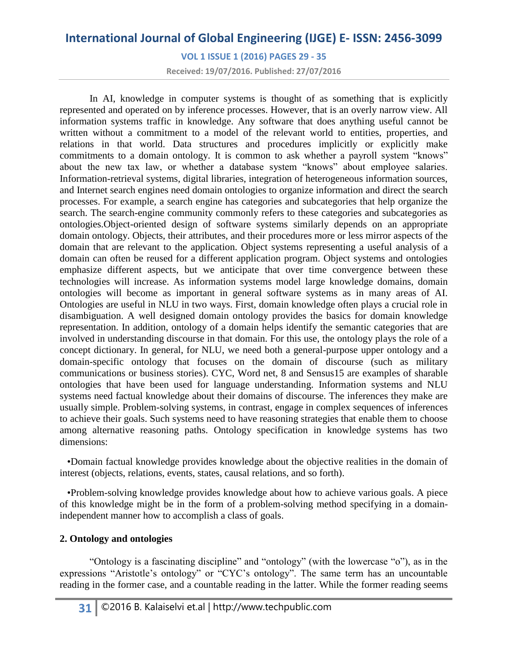**VOL 1 ISSUE 1 (2016) PAGES 29 - 35**

**Received: 19/07/2016. Published: 27/07/2016**

In AI, knowledge in computer systems is thought of as something that is explicitly represented and operated on by inference processes. However, that is an overly narrow view. All information systems traffic in knowledge. Any software that does anything useful cannot be written without a commitment to a model of the relevant world to entities, properties, and relations in that world. Data structures and procedures implicitly or explicitly make commitments to a domain ontology. It is common to ask whether a payroll system "knows" about the new tax law, or whether a database system "knows" about employee salaries. Information-retrieval systems, digital libraries, integration of heterogeneous information sources, and Internet search engines need domain ontologies to organize information and direct the search processes. For example, a search engine has categories and subcategories that help organize the search. The search-engine community commonly refers to these categories and subcategories as ontologies.Object-oriented design of software systems similarly depends on an appropriate domain ontology. Objects, their attributes, and their procedures more or less mirror aspects of the domain that are relevant to the application. Object systems representing a useful analysis of a domain can often be reused for a different application program. Object systems and ontologies emphasize different aspects, but we anticipate that over time convergence between these technologies will increase. As information systems model large knowledge domains, domain ontologies will become as important in general software systems as in many areas of AI. Ontologies are useful in NLU in two ways. First, domain knowledge often plays a crucial role in disambiguation. A well designed domain ontology provides the basics for domain knowledge representation. In addition, ontology of a domain helps identify the semantic categories that are involved in understanding discourse in that domain. For this use, the ontology plays the role of a concept dictionary. In general, for NLU, we need both a general-purpose upper ontology and a domain-specific ontology that focuses on the domain of discourse (such as military communications or business stories). CYC, Word net, 8 and Sensus15 are examples of sharable ontologies that have been used for language understanding. Information systems and NLU systems need factual knowledge about their domains of discourse. The inferences they make are usually simple. Problem-solving systems, in contrast, engage in complex sequences of inferences to achieve their goals. Such systems need to have reasoning strategies that enable them to choose among alternative reasoning paths. Ontology specification in knowledge systems has two dimensions:

 •Domain factual knowledge provides knowledge about the objective realities in the domain of interest (objects, relations, events, states, causal relations, and so forth).

 •Problem-solving knowledge provides knowledge about how to achieve various goals. A piece of this knowledge might be in the form of a problem-solving method specifying in a domainindependent manner how to accomplish a class of goals.

### **2. Ontology and ontologies**

"Ontology is a fascinating discipline" and "ontology" (with the lowercase "o"), as in the expressions "Aristotle's ontology" or "CYC's ontology". The same term has an uncountable reading in the former case, and a countable reading in the latter. While the former reading seems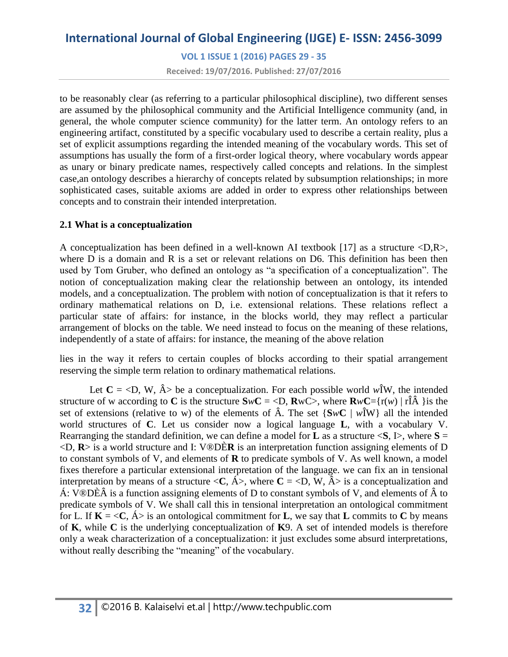**VOL 1 ISSUE 1 (2016) PAGES 29 - 35**

**Received: 19/07/2016. Published: 27/07/2016**

to be reasonably clear (as referring to a particular philosophical discipline), two different senses are assumed by the philosophical community and the Artificial Intelligence community (and, in general, the whole computer science community) for the latter term. An ontology refers to an engineering artifact, constituted by a specific vocabulary used to describe a certain reality, plus a set of explicit assumptions regarding the intended meaning of the vocabulary words. This set of assumptions has usually the form of a first-order logical theory, where vocabulary words appear as unary or binary predicate names, respectively called concepts and relations. In the simplest case,an ontology describes a hierarchy of concepts related by subsumption relationships; in more sophisticated cases, suitable axioms are added in order to express other relationships between concepts and to constrain their intended interpretation.

### **2.1 What is a conceptualization**

A conceptualization has been defined in a well-known AI textbook [17] as a structure <D,R>, where D is a domain and R is a set or relevant relations on D6. This definition has been then used by Tom Gruber, who defined an ontology as "a specification of a conceptualization". The notion of conceptualization making clear the relationship between an ontology, its intended models, and a conceptualization. The problem with notion of conceptualization is that it refers to ordinary mathematical relations on D, i.e. extensional relations. These relations reflect a particular state of affairs: for instance, in the blocks world, they may reflect a particular arrangement of blocks on the table. We need instead to focus on the meaning of these relations, independently of a state of affairs: for instance, the meaning of the above relation

lies in the way it refers to certain couples of blocks according to their spatial arrangement reserving the simple term relation to ordinary mathematical relations.

Let  $C = \langle D, W, \hat{A} \rangle$  be a conceptualization. For each possible world w<sub>i</sub> W, the intended structure of w according to **C** is the structure  $SwC = \langle D, RwC \rangle$ , where  $RwC = \{r(w) | r\hat{IA} \}$  is the set of extensions (relative to w) of the elements of  $\hat{A}$ . The set  $\{SwC \mid w\hat{\mathbf{i}}W\}$  all the intended world structures of **C**. Let us consider now a logical language **L**, with a vocabulary V. Rearranging the standard definition, we can define a model for **L** as a structure  $\leq S$ , I $>$ , where  $S =$ <D, **R**> is a world structure and I: V®DÈ**R** is an interpretation function assigning elements of D to constant symbols of V, and elements of **R** to predicate symbols of V. As well known, a model fixes therefore a particular extensional interpretation of the language. we can fix an in tensional interpretation by means of a structure  $\langle C, \hat{A} \rangle$ , where  $C = \langle D, W, \hat{A} \rangle$  is a conceptualization and Á: V®DÈÂ is a function assigning elements of D to constant symbols of V, and elements of  $\hat{A}$  to predicate symbols of V. We shall call this in tensional interpretation an ontological commitment for L. If  $K = \langle C, A \rangle$  is an ontological commitment for **L**, we say that **L** commits to C by means of **K**, while **C** is the underlying conceptualization of **K**9. A set of intended models is therefore only a weak characterization of a conceptualization: it just excludes some absurd interpretations, without really describing the "meaning" of the vocabulary.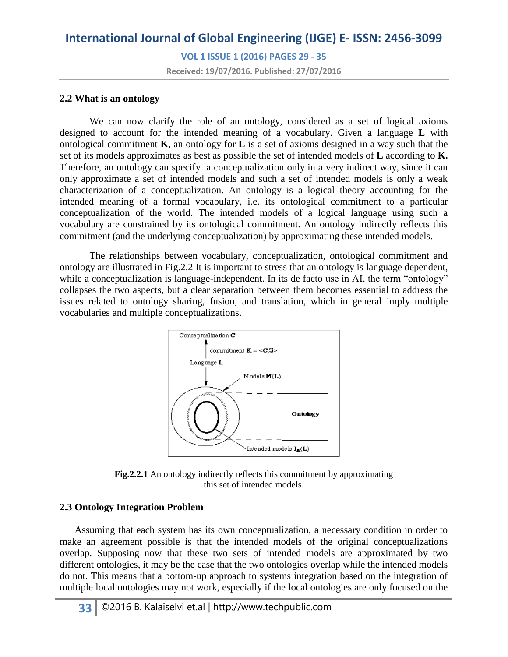**VOL 1 ISSUE 1 (2016) PAGES 29 - 35**

**Received: 19/07/2016. Published: 27/07/2016**

#### **2.2 What is an ontology**

We can now clarify the role of an ontology, considered as a set of logical axioms designed to account for the intended meaning of a vocabulary. Given a language **L** with ontological commitment **K**, an ontology for **L** is a set of axioms designed in a way such that the set of its models approximates as best as possible the set of intended models of **L** according to **K.** Therefore, an ontology can specify a conceptualization only in a very indirect way, since it can only approximate a set of intended models and such a set of intended models is only a weak characterization of a conceptualization. An ontology is a logical theory accounting for the intended meaning of a formal vocabulary, i.e. its ontological commitment to a particular conceptualization of the world. The intended models of a logical language using such a vocabulary are constrained by its ontological commitment. An ontology indirectly reflects this commitment (and the underlying conceptualization) by approximating these intended models.

The relationships between vocabulary, conceptualization, ontological commitment and ontology are illustrated in Fig.2.2 It is important to stress that an ontology is language dependent, while a conceptualization is language-independent. In its de facto use in AI, the term "ontology" collapses the two aspects, but a clear separation between them becomes essential to address the issues related to ontology sharing, fusion, and translation, which in general imply multiple vocabularies and multiple conceptualizations.



**Fig.2.2.1** An ontology indirectly reflects this commitment by approximating this set of intended models.

#### **2.3 Ontology Integration Problem**

 Assuming that each system has its own conceptualization, a necessary condition in order to make an agreement possible is that the intended models of the original conceptualizations overlap. Supposing now that these two sets of intended models are approximated by two different ontologies, it may be the case that the two ontologies overlap while the intended models do not. This means that a bottom-up approach to systems integration based on the integration of multiple local ontologies may not work, especially if the local ontologies are only focused on the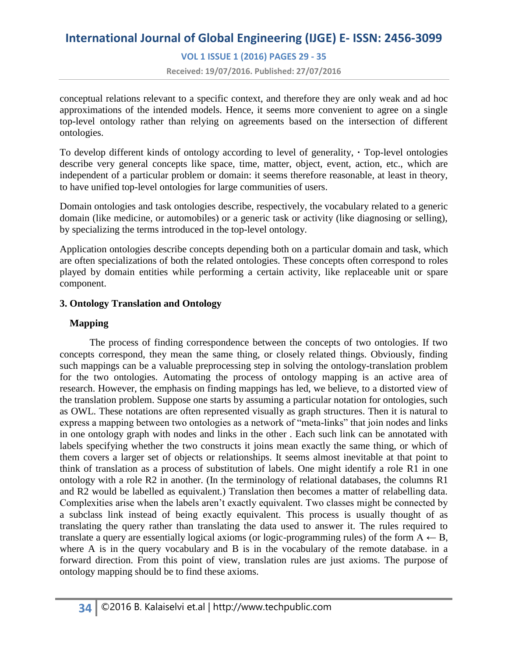**VOL 1 ISSUE 1 (2016) PAGES 29 - 35**

**Received: 19/07/2016. Published: 27/07/2016**

conceptual relations relevant to a specific context, and therefore they are only weak and ad hoc approximations of the intended models. Hence, it seems more convenient to agree on a single top-level ontology rather than relying on agreements based on the intersection of different ontologies.

To develop different kinds of ontology according to level of generality, **·** Top-level ontologies describe very general concepts like space, time, matter, object, event, action, etc., which are independent of a particular problem or domain: it seems therefore reasonable, at least in theory, to have unified top-level ontologies for large communities of users.

Domain ontologies and task ontologies describe, respectively, the vocabulary related to a generic domain (like medicine, or automobiles) or a generic task or activity (like diagnosing or selling), by specializing the terms introduced in the top-level ontology.

Application ontologies describe concepts depending both on a particular domain and task, which are often specializations of both the related ontologies. These concepts often correspond to roles played by domain entities while performing a certain activity, like replaceable unit or spare component.

### **3. Ontology Translation and Ontology**

### **Mapping**

The process of finding correspondence between the concepts of two ontologies. If two concepts correspond, they mean the same thing, or closely related things. Obviously, finding such mappings can be a valuable preprocessing step in solving the ontology-translation problem for the two ontologies. Automating the process of ontology mapping is an active area of research. However, the emphasis on finding mappings has led, we believe, to a distorted view of the translation problem. Suppose one starts by assuming a particular notation for ontologies, such as OWL. These notations are often represented visually as graph structures. Then it is natural to express a mapping between two ontologies as a network of "meta-links" that join nodes and links in one ontology graph with nodes and links in the other . Each such link can be annotated with labels specifying whether the two constructs it joins mean exactly the same thing, or which of them covers a larger set of objects or relationships. It seems almost inevitable at that point to think of translation as a process of substitution of labels. One might identify a role R1 in one ontology with a role R2 in another. (In the terminology of relational databases, the columns R1 and R2 would be labelled as equivalent.) Translation then becomes a matter of relabelling data. Complexities arise when the labels aren't exactly equivalent. Two classes might be connected by a subclass link instead of being exactly equivalent. This process is usually thought of as translating the query rather than translating the data used to answer it. The rules required to translate a query are essentially logical axioms (or logic-programming rules) of the form  $A \leftarrow B$ , where A is in the query vocabulary and B is in the vocabulary of the remote database, in a forward direction. From this point of view, translation rules are just axioms. The purpose of ontology mapping should be to find these axioms.